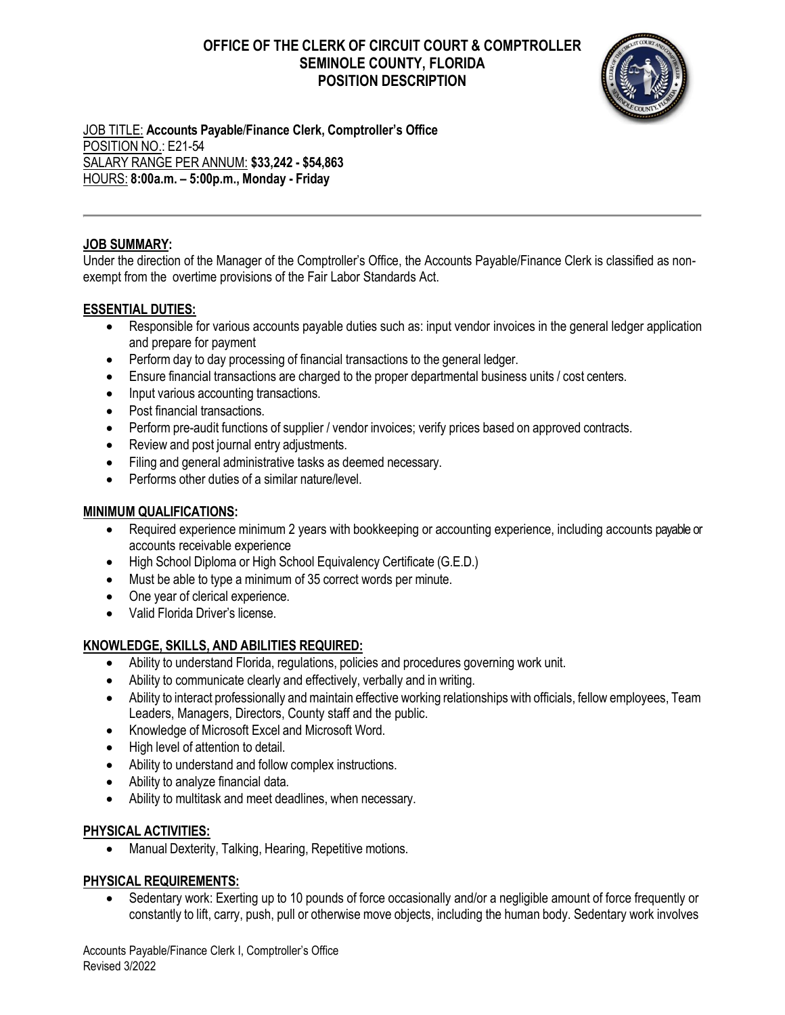# **OFFICE OF THE CLERK OF CIRCUIT COURT & COMPTROLLER SEMINOLE COUNTY, FLORIDA POSITION DESCRIPTION**



JOB TITLE: **Accounts Payable**/**Finance Clerk, Comptroller's Office** POSITION NO.: E21-54 SALARY RANGE PER ANNUM: **\$33,242 - \$54,863** HOURS: **8:00a.m. – 5:00p.m., Monday - Friday**

#### **JOB SUMMARY:**

Under the direction of the Manager of the Comptroller's Office, the Accounts Payable/Finance Clerk is classified as nonexempt from the overtime provisions of the Fair Labor Standards Act.

#### **ESSENTIAL DUTIES:**

- Responsible for various accounts payable duties such as: input vendor invoices in the general ledger application and prepare for payment
- Perform day to day processing of financial transactions to the general ledger.
- Ensure financial transactions are charged to the proper departmental business units / cost centers.
- Input various accounting transactions.
- Post financial transactions.
- Perform pre-audit functions of supplier / vendor invoices; verify prices based on approved contracts.
- Review and post journal entry adjustments.
- Filing and general administrative tasks as deemed necessary.
- Performs other duties of a similar nature/level.

#### **MINIMUM QUALIFICATIONS:**

- Required experience minimum 2 years with bookkeeping or accounting experience, including accounts payable or accounts receivable experience
- High School Diploma or High School Equivalency Certificate (G.E.D.)
- Must be able to type a minimum of 35 correct words per minute.
- One year of clerical experience.
- Valid Florida Driver's license.

## **KNOWLEDGE, SKILLS, AND ABILITIES REQUIRED:**

- Ability to understand Florida, regulations, policies and procedures governing work unit.
- Ability to communicate clearly and effectively, verbally and in writing.
- Ability to interact professionally and maintain effective working relationships with officials, fellow employees, Team Leaders, Managers, Directors, County staff and the public.
- Knowledge of Microsoft Excel and Microsoft Word.
- High level of attention to detail.
- Ability to understand and follow complex instructions.
- Ability to analyze financial data.
- Ability to multitask and meet deadlines, when necessary.

## **PHYSICAL ACTIVITIES:**

Manual Dexterity, Talking, Hearing, Repetitive motions.

## **PHYSICAL REQUIREMENTS:**

• Sedentary work: Exerting up to 10 pounds of force occasionally and/or a negligible amount of force frequently or constantly to lift, carry, push, pull or otherwise move objects, including the human body. Sedentary work involves

Accounts Payable/Finance Clerk I, Comptroller's Office Revised 3/2022